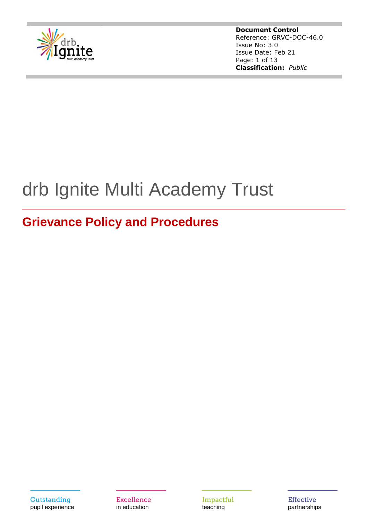

**Document Control** Reference: GRVC-DOC-46.0 Issue No: 3.0 Issue Date: Feb 21 Page: 1 of 13 **Classification:** *Public*

# drb Ignite Multi Academy Trust

## **Grievance Policy and Procedures**



Excellence in education

Impactful teaching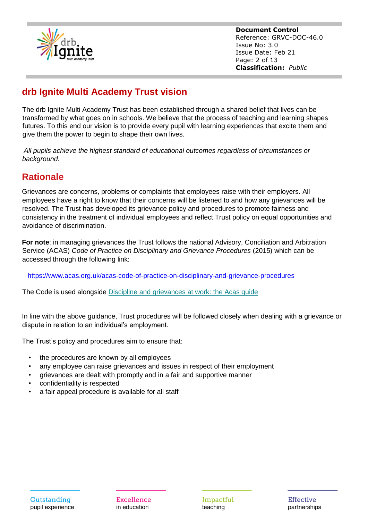

**Document Control** Reference: GRVC-DOC-46.0 Issue No: 3.0 Issue Date: Feb 21 Page: 2 of 13 **Classification:** *Public*

## **drb Ignite Multi Academy Trust vision**

The drb Ignite Multi Academy Trust has been established through a shared belief that lives can be transformed by what goes on in schools. We believe that the process of teaching and learning shapes futures. To this end our vision is to provide every pupil with learning experiences that excite them and give them the power to begin to shape their own lives.

*All pupils achieve the highest standard of educational outcomes regardless of circumstances or background.*

## **Rationale**

Grievances are concerns, problems or complaints that employees raise with their employers. All employees have a right to know that their concerns will be listened to and how any grievances will be resolved. The Trust has developed its grievance policy and procedures to promote fairness and consistency in the treatment of individual employees and reflect Trust policy on equal opportunities and avoidance of discrimination.

**For note**: in managing grievances the Trust follows the national Advisory, Conciliation and Arbitration Service (ACAS) *Code of Practice on Disciplinary and Grievance Procedures* (2015) which can be accessed through the following link:

<https://www.acas.org.uk/acas-code-of-practice-on-disciplinary-and-grievance-procedures>

The Code is used alongside Discipline and [grievances](https://archive.acas.org.uk/media/1043/Discipline-and-grievances-at-work-The-Acas-guide/pdf/DG_Guide_Feb_2019.pdf) at work: the Acas guide

In line with the above guidance, Trust procedures will be followed closely when dealing with a grievance or dispute in relation to an individual's employment.

The Trust's policy and procedures aim to ensure that:

- the procedures are known by all employees
- any employee can raise grievances and issues in respect of their employment
- grievances are dealt with promptly and in a fair and supportive manner
- confidentiality is respected
- a fair appeal procedure is available for all staff

Excellence in education

Impactful teaching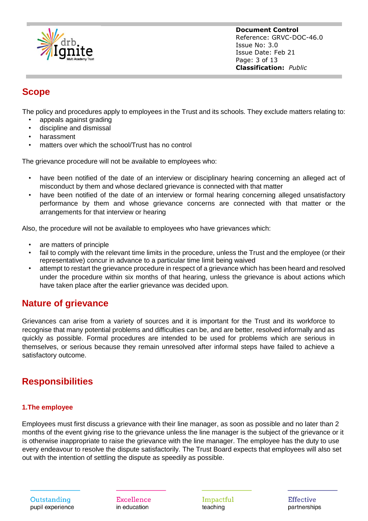

**Document Control** Reference: GRVC-DOC-46.0 Issue No: 3.0 Issue Date: Feb 21 Page: 3 of 13 **Classification:** *Public*

## **Scope**

The policy and procedures apply to employees in the Trust and its schools. They exclude matters relating to:

- appeals against grading
- discipline and dismissal
- harassment
- matters over which the school/Trust has no control

The grievance procedure will not be available to employees who:

- have been notified of the date of an interview or disciplinary hearing concerning an alleged act of misconduct by them and whose declared grievance is connected with that matter
- have been notified of the date of an interview or formal hearing concerning alleged unsatisfactory performance by them and whose grievance concerns are connected with that matter or the arrangements for that interview or hearing

Also, the procedure will not be available to employees who have grievances which:

- are matters of principle
- fail to comply with the relevant time limits in the procedure, unless the Trust and the employee (or their representative) concur in advance to a particular time limit being waived
- attempt to restart the grievance procedure in respect of a grievance which has been heard and resolved under the procedure within six months of that hearing, unless the grievance is about actions which have taken place after the earlier grievance was decided upon.

## **Nature of grievance**

Grievances can arise from a variety of sources and it is important for the Trust and its workforce to recognise that many potential problems and difficulties can be, and are better, resolved informally and as quickly as possible. Formal procedures are intended to be used for problems which are serious in themselves, or serious because they remain unresolved after informal steps have failed to achieve a satisfactory outcome.

## **Responsibilities**

#### **1.The employee**

Employees must first discuss a grievance with their line manager, as soon as possible and no later than 2 months of the event giving rise to the grievance unless the line manager is the subject of the grievance or it is otherwise inappropriate to raise the grievance with the line manager. The employee has the duty to use every endeavour to resolve the dispute satisfactorily. The Trust Board expects that employees will also set out with the intention of settling the dispute as speedily as possible.

Excellence in education

Impactful teaching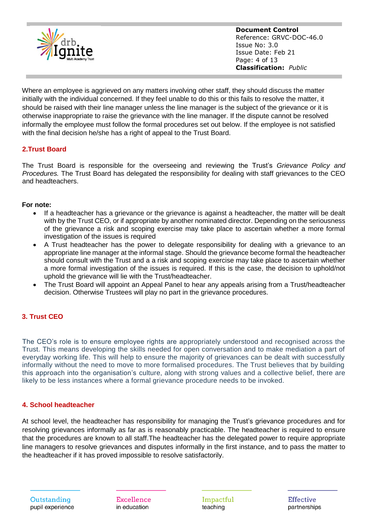

**Document Control** Reference: GRVC-DOC-46.0 Issue No: 3.0 Issue Date: Feb 21 Page: 4 of 13 **Classification:** *Public*

Where an employee is aggrieved on any matters involving other staff, they should discuss the matter initially with the individual concerned. If they feel unable to do this or this fails to resolve the matter, it should be raised with their line manager unless the line manager is the subject of the grievance or it is otherwise inappropriate to raise the grievance with the line manager. If the dispute cannot be resolved informally the employee must follow the formal procedures set out below. If the employee is not satisfied with the final decision he/she has a right of appeal to the Trust Board.

#### **2.Trust Board**

The Trust Board is responsible for the overseeing and reviewing the Trust's *Grievance Policy and Procedures.* The Trust Board has delegated the responsibility for dealing with staff grievances to the CEO and headteachers.

#### **For note:**

- If a headteacher has a grievance or the grievance is against a headteacher, the matter will be dealt with by the Trust CEO, or if appropriate by another nominated director. Depending on the seriousness of the grievance a risk and scoping exercise may take place to ascertain whether a more formal investigation of the issues is required
- A Trust headteacher has the power to delegate responsibility for dealing with a grievance to an appropriate line manager at the informal stage. Should the grievance become formal the headteacher should consult with the Trust and a a risk and scoping exercise may take place to ascertain whether a more formal investigation of the issues is required. If this is the case, the decision to uphold/not uphold the grievance will lie with the Trust/headteacher.
- The Trust Board will appoint an Appeal Panel to hear any appeals arising from a Trust/headteacher decision. Otherwise Trustees will play no part in the grievance procedures.

#### **3. Trust CEO**

The CEO's role is to ensure employee rights are appropriately understood and recognised across the Trust. This means developing the skills needed for open conversation and to make mediation a part of everyday working life. This will help to ensure the majority of grievances can be dealt with successfully informally without the need to move to more formalised procedures. The Trust believes that by building this approach into the organisation's culture, along with strong values and a collective belief, there are likely to be less instances where a formal grievance procedure needs to be invoked.

#### **4. School headteacher**

At school level, the headteacher has responsibility for managing the Trust's grievance procedures and for resolving grievances informally as far as is reasonably practicable. The headteacher is required to ensure that the procedures are known to all staff.The headteacher has the delegated power to require appropriate line managers to resolve grievances and disputes informally in the first instance, and to pass the matter to the headteacher if it has proved impossible to resolve satisfactorily.

Excellence in education

Impactful teaching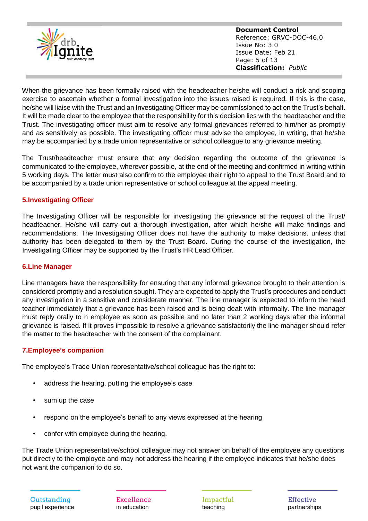

**Document Control** Reference: GRVC-DOC-46.0 Issue No: 3.0 Issue Date: Feb 21 Page: 5 of 13 **Classification:** *Public*

When the grievance has been formally raised with the headteacher he/she will conduct a risk and scoping exercise to ascertain whether a formal investigation into the issues raised is required. If this is the case, he/she will liaise with the Trust and an Investigating Officer may be commissioned to act on the Trust's behalf. It will be made clear to the employee that the responsibility for this decision lies with the headteacher and the Trust. The investigating officer must aim to resolve any formal grievances referred to him/her as promptly and as sensitively as possible. The investigating officer must advise the employee, in writing, that he/she may be accompanied by a trade union representative or school colleague to any grievance meeting.

The Trust/headteacher must ensure that any decision regarding the outcome of the grievance is communicated to the employee, wherever possible, at the end of the meeting and confirmed in writing within 5 working days. The letter must also confirm to the employee their right to appeal to the Trust Board and to be accompanied by a trade union representative or school colleague at the appeal meeting.

#### **5.Investigating Officer**

The Investigating Officer will be responsible for investigating the grievance at the request of the Trust/ headteacher. He/she will carry out a thorough investigation, after which he/she will make findings and recommendations. The Investigating Officer does not have the authority to make decisions. unless that authority has been delegated to them by the Trust Board. During the course of the investigation, the Investigating Officer may be supported by the Trust's HR Lead Officer.

#### **6.Line Manager**

Line managers have the responsibility for ensuring that any informal grievance brought to their attention is considered promptly and a resolution sought. They are expected to apply the Trust's procedures and conduct any investigation in a sensitive and considerate manner. The line manager is expected to inform the head teacher immediately that a grievance has been raised and is being dealt with informally. The line manager must reply orally to n employee as soon as possible and no later than 2 working days after the informal grievance is raised. If it proves impossible to resolve a grievance satisfactorily the line manager should refer the matter to the headteacher with the consent of the complainant.

#### **7.Employee's companion**

The employee's Trade Union representative/school colleague has the right to:

- address the hearing, putting the employee's case
- sum up the case
- respond on the employee's behalf to any views expressed at the hearing
- confer with employee during the hearing.

The Trade Union representative/school colleague may not answer on behalf of the employee any questions put directly to the employee and may not address the hearing if the employee indicates that he/she does not want the companion to do so.

Excellence in education

Impactful teaching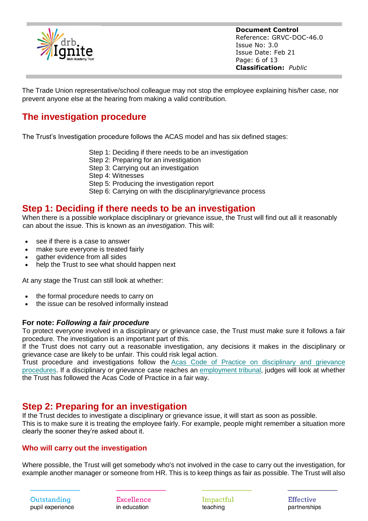

**Document Control** Reference: GRVC-DOC-46.0 Issue No: 3.0 Issue Date: Feb 21 Page: 6 of 13 **Classification:** *Public*

The Trade Union representative/school colleague may not stop the employee explaining his/her case, nor prevent anyone else at the hearing from making a valid contribution.

## **The investigation procedure**

The Trust's Investigation procedure follows the ACAS model and has six defined stages:

- Step 1: Deciding if there needs to be an investigation
- Step 2: Preparing for an investigation
- Step 3: Carrying out an investigation
- Step 4: Witnesses
- Step 5: Producing the investigation report
- Step 6: Carrying on with the disciplinary/grievance process

#### **Step 1: Deciding if there needs to be an investigation**

When there is a possible workplace disciplinary or grievance issue, the Trust will find out all it reasonably can about the issue. This is known as an *investigation*. This will:

- see if there is a case to answer
- make sure everyone is treated fairly
- gather evidence from all sides
- help the Trust to see what should happen next

At any stage the Trust can still look at whether:

- the formal procedure needs to carry on
- the issue can be resolved informally instead

#### **For note:** *Following a fair procedure*

To protect everyone involved in a disciplinary or grievance case, the Trust must make sure it follows a fair procedure. The investigation is an important part of this.

If the Trust does not carry out a reasonable investigation, any decisions it makes in the disciplinary or grievance case are likely to be unfair. This could risk legal action.

Trust procedure and investigations follow the Acas Code of Practice on [disciplinary](https://www.acas.org.uk/acas-code-of-practice-on-disciplinary-and-grievance-procedures) and grievance [procedures.](https://www.acas.org.uk/acas-code-of-practice-on-disciplinary-and-grievance-procedures) If a disciplinary or grievance case reaches an [employment](https://www.acas.org.uk/making-a-claim-to-an-employment-tribunal) tribunal, judges will look at whether the Trust has followed the Acas Code of Practice in a fair way.

## **Step 2: Preparing for an investigation**

If the Trust decides to investigate a disciplinary or grievance issue, it will start as soon as possible. This is to make sure it is treating the employee fairly. For example, people might remember a situation more clearly the sooner they're asked about it.

#### **Who will carry out the investigation**

Where possible, the Trust will get somebody who's not involved in the case to carry out the investigation, for example another manager or someone from HR. This is to keep things as fair as possible. The Trust will also

Excellence in education

Impactful teaching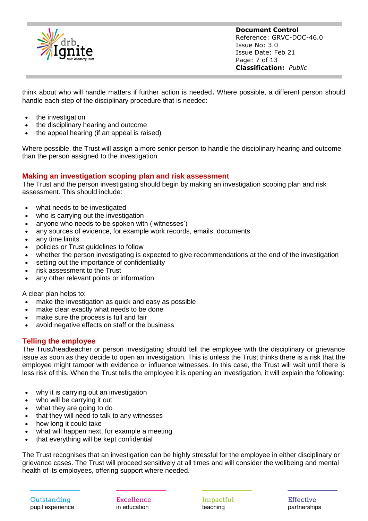

**Document Control** Reference: GRVC-DOC-46.0 Issue No: 3.0 Issue Date: Feb 21 Page: 7 of 13 **Classification:** *Public*

think about who will handle matters if further action is needed. Where possible, a different person should handle each step of the disciplinary procedure that is needed:

- the investigation
- the disciplinary hearing and outcome
- the appeal hearing (if an appeal is raised)

Where possible, the Trust will assign a more senior person to handle the disciplinary hearing and outcome than the person assigned to the investigation.

#### **Making an investigation scoping plan and risk assessment**

The Trust and the person investigating should begin by making an investigation scoping plan and risk assessment. This should include:

- what needs to be investigated
- who is carrying out the investigation
- anyone who needs to be spoken with ('witnesses')
- any sources of evidence, for example work records, emails, documents
- any time limits
- policies or Trust guidelines to follow
- whether the person investigating is expected to give recommendations at the end of the investigation
- setting out the importance of confidentiality
- risk assessment to the Trust
- any other relevant points or information

A clear plan helps to:

- make the investigation as quick and easy as possible
- make clear exactly what needs to be done
- make sure the process is full and fair
- avoid negative effects on staff or the business

#### **Telling the employee**

The Trust/headteacher or person investigating should tell the employee with the disciplinary or grievance issue as soon as they decide to open an investigation. This is unless the Trust thinks there is a risk that the employee might tamper with evidence or influence witnesses. In this case, the Trust will wait until there is less risk of this. When the Trust tells the employee it is opening an investigation, it will explain the following:

- why it is carrying out an investigation
- who will be carrying it out
- what they are going to do
- that they will need to talk to any witnesses
- how long it could take
- what will happen next, for example a meeting
- that everything will be kept confidential

The Trust recognises that an investigation can be highly stressful for the employee in either disciplinary or grievance cases. The Trust will proceed sensitively at all times and will consider the wellbeing and mental health of its employees, offering support where needed.

Outstanding pupil experience Excellence in education

Impactful teaching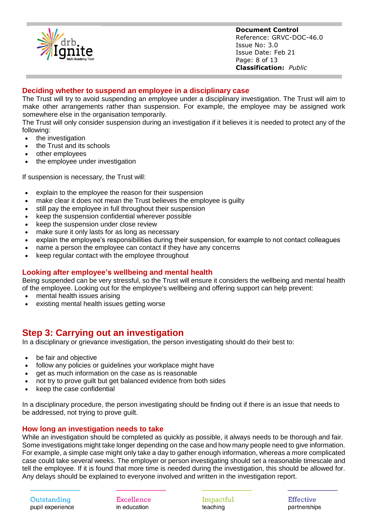

**Document Control** Reference: GRVC-DOC-46.0 Issue No: 3.0 Issue Date: Feb 21 Page: 8 of 13 **Classification:** *Public*

#### **Deciding whether to suspend an employee in a disciplinary case**

The Trust will try to avoid suspending an employee under a disciplinary investigation. The Trust will aim to make other arrangements rather than suspension. For example, the employee may be assigned work somewhere else in the organisation temporarily.

The Trust will only consider suspension during an investigation if it believes it is needed to protect any of the following:

- the investigation
- the Trust and its schools
- other employees
- the employee under investigation

If suspension is necessary, the Trust will:

- explain to the employee the reason for their suspension
- make clear it does not mean the Trust believes the employee is quilty
- still pay the employee in full throughout their suspension
- keep the suspension confidential wherever possible
- keep the suspension under close review
- make sure it only lasts for as long as necessary
- explain the employee's responsibilities during their suspension, for example to not contact colleagues
- name a person the employee can contact if they have any concerns
- keep regular contact with the employee throughout

#### **Looking after employee's wellbeing and mental health**

Being suspended can be very stressful, so the Trust will ensure it considers the wellbeing and mental health of the employee. Looking out for the employee's wellbeing and offering support can help prevent:

- mental health issues arising
- existing mental health issues getting worse

## **Step 3: Carrying out an investigation**

In a disciplinary or grievance investigation, the person investigating should do their best to:

- be fair and objective
- follow any policies or guidelines your workplace might have
- get as much information on the case as is reasonable
- not try to prove guilt but get balanced evidence from both sides
- keep the case confidential

In a disciplinary procedure, the person investigating should be finding out if there is an issue that needs to be addressed, not trying to prove guilt.

#### **How long an investigation needs to take**

While an investigation should be completed as quickly as possible, it always needs to be thorough and fair. Some investigations might take longer depending on the case and how many people need to give information. For example, a simple case might only take a day to gather enough information, whereas a more complicated case could take several weeks. The employer or person investigating should set a reasonable timescale and tell the employee. If it is found that more time is needed during the investigation, this should be allowed for. Any delays should be explained to everyone involved and written in the investigation report.

Outstanding pupil experience Excellence in education

Impactful teaching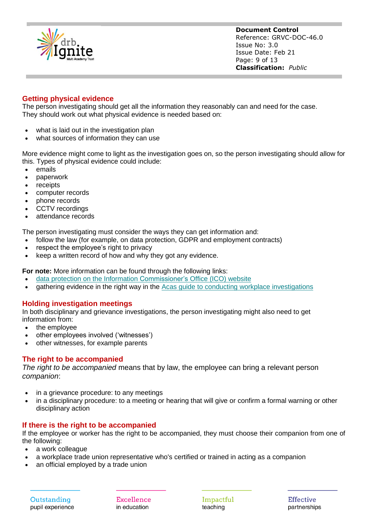

**Document Control** Reference: GRVC-DOC-46.0 Issue No: 3.0 Issue Date: Feb 21 Page: 9 of 13 **Classification:** *Public*

#### **Getting physical evidence**

The person investigating should get all the information they reasonably can and need for the case. They should work out what physical evidence is needed based on:

- what is laid out in the investigation plan
- what sources of information they can use

More evidence might come to light as the investigation goes on, so the person investigating should allow for this. Types of physical evidence could include:

- emails
- paperwork
- receipts
- computer records
- phone records
- CCTV recordings
- attendance records

The person investigating must consider the ways they can get information and:

- follow the law (for example, on data protection, GDPR and employment contracts)
- respect the employee's right to privacy
- keep a written record of how and why they got any evidence.

**For note:** More information can be found through the following links:

- data protection on the Information [Commissioner's](https://ico.org.uk/for-organisations/guide-to-data-protection/) Office (ICO) website
- gathering evidence in the right way in the Acas guide to conducting workplace [investigations](https://archive.acas.org.uk/media/4483/Conducting-workplace-investigations/pdf/Conducting_Workplace_Investigations.pdf)

#### **Holding investigation meetings**

In both disciplinary and grievance investigations, the person investigating might also need to get information from:

- the employee
- other employees involved ('witnesses')
- other witnesses, for example parents

#### **The right to be accompanied**

*The right to be accompanied* means that by law, the employee can bring a relevant person *companion*:

- in a grievance procedure: to any meetings
- in a disciplinary procedure: to a meeting or hearing that will give or confirm a formal warning or other disciplinary action

#### **If there is the right to be accompanied**

If the employee or worker has the right to be accompanied, they must choose their companion from one of the following:

- a work colleague
- a workplace trade union representative who's certified or trained in acting as a companion
- an official employed by a trade union

Excellence in education

Impactful teaching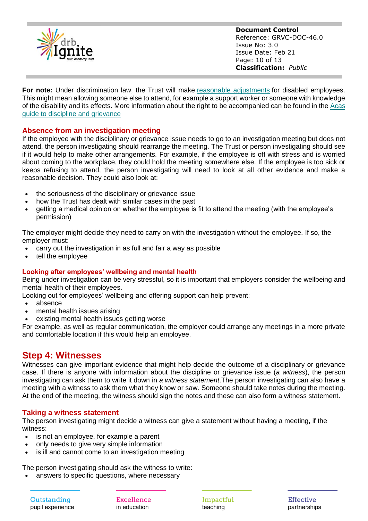

**Document Control** Reference: GRVC-DOC-46.0 Issue No: 3.0 Issue Date: Feb 21 Page: 10 of 13 **Classification:** *Public*

**For note:** Under discrimination law, the Trust will make reasonable [adjustments](http://archive.acas.org.uk/index.aspx?articleid=6074) for disabled employees. This might mean allowing someone else to attend, for example a support worker or someone with knowledge of the disability and its effects. More information about the right to be accompanied can be found in the [Acas](https://archive.acas.org.uk/media/1043/Discipline-and-grievances-at-work-The-Acas-guide/pdf/DG_Guide_Feb_2019.pdf) guide to discipline and [grievance](https://archive.acas.org.uk/media/1043/Discipline-and-grievances-at-work-The-Acas-guide/pdf/DG_Guide_Feb_2019.pdf)

#### **Absence from an investigation meeting**

If the employee with the disciplinary or grievance issue needs to go to an investigation meeting but does not attend, the person investigating should rearrange the meeting. The Trust or person investigating should see if it would help to make other arrangements. For example, if the employee is off with stress and is worried about coming to the workplace, they could hold the meeting somewhere else. If the employee is too sick or keeps refusing to attend, the person investigating will need to look at all other evidence and make a reasonable decision. They could also look at:

- the seriousness of the disciplinary or grievance issue
- how the Trust has dealt with similar cases in the past
- getting a medical opinion on whether the employee is fit to attend the meeting (with the employee's permission)

The employer might decide they need to carry on with the investigation without the employee. If so, the employer must:

- carry out the investigation in as full and fair a way as possible
- tell the employee

#### **Looking after employees' wellbeing and mental health**

Being under investigation can be very stressful, so it is important that employers consider the wellbeing and mental health of their employees.

Looking out for employees' wellbeing and offering support can help prevent:

- absence
- mental health issues arising
- existing mental health issues getting worse

For example, as well as regular communication, the employer could arrange any meetings in a more private and comfortable location if this would help an employee.

## **Step 4: Witnesses**

Witnesses can give important evidence that might help decide the outcome of a disciplinary or grievance case. If there is anyone with information about the discipline or grievance issue (*a witness*), the person investigating can ask them to write it down in *a witness statement*.The person investigating can also have a meeting with a witness to ask them what they know or saw. Someone should take notes during the meeting. At the end of the meeting, the witness should sign the notes and these can also form a witness statement.

#### **Taking a witness statement**

The person investigating might decide a witness can give a statement without having a meeting, if the witness:

- is not an employee, for example a parent
- only needs to give very simple information
- is ill and cannot come to an investigation meeting

The person investigating should ask the witness to write:

answers to specific questions, where necessary

Outstanding pupil experience Excellence in education

Impactful teaching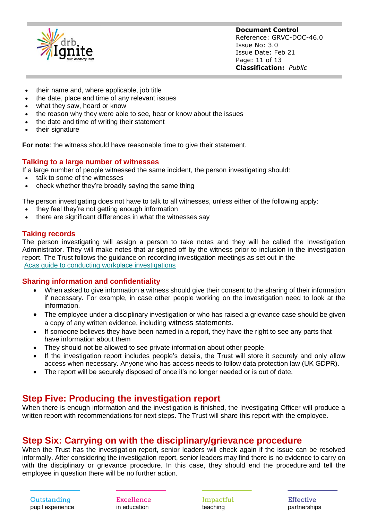

**Document Control** Reference: GRVC-DOC-46.0 Issue No: 3.0 Issue Date: Feb 21 Page: 11 of 13 **Classification:** *Public*

- their name and, where applicable, job title
- the date, place and time of any relevant issues
- what they saw, heard or know
- the reason why they were able to see, hear or know about the issues
- the date and time of writing their statement
- their signature

**For note:** the witness should have reasonable time to give their statement.

#### **Talking to a large number of witnesses**

If a large number of people witnessed the same incident, the person investigating should:

- talk to some of the witnesses
- check whether they're broadly saying the same thing

The person investigating does not have to talk to all witnesses, unless either of the following apply:

- they feel they're not getting enough information
- there are significant differences in what the witnesses say

#### **Taking records**

The person investigating will assign a person to take notes and they will be called the Investigation Administrator. They will make notes that ar signed off by the witness prior to inclusion in the investigation report. The Trust follows the guidance on recording investigation meetings as set out in the Acas guide to conducting workplace [investigations](https://archive.acas.org.uk/media/4483/Conducting-workplace-investigations/pdf/Conducting_Workplace_Investigations.pdf)

#### **Sharing information and confidentiality**

- When asked to give information a witness should give their consent to the sharing of their information if necessary. For example, in case other people working on the investigation need to look at the information.
- The employee under a disciplinary investigation or who has raised a grievance case should be given a copy of any written evidence, including witness statements.
- If someone believes they have been named in a report, they have the right to see any parts that have information about them
- They should not be allowed to see private information about other people.
- If the investigation report includes people's details, the Trust will store it securely and only allow access when necessary. Anyone who has access needs to follow data protection law (UK GDPR).
- The report will be securely disposed of once it's no longer needed or is out of date.

#### **Step Five: Producing the investigation report**

When there is enough information and the investigation is finished, the Investigating Officer will produce a written report with recommendations for next steps. The Trust will share this report with the employee.

#### **Step Six: Carrying on with the disciplinary/grievance procedure**

When the Trust has the investigation report, senior leaders will check again if the issue can be resolved informally. After considering the investigation report, senior leaders may find there is no evidence to carry on with the disciplinary or grievance procedure. In this case, they should end the procedure and tell the employee in question there will be no further action.

Excellence in education

Impactful teaching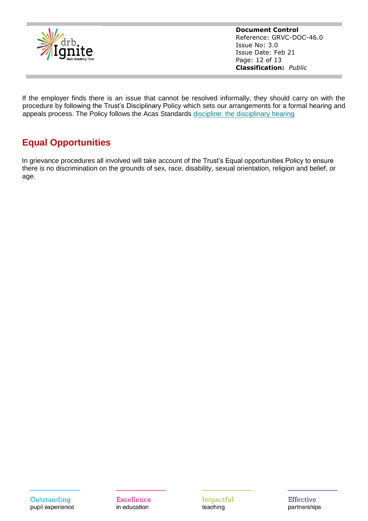

**Document Control** Reference: GRVC-DOC-46.0 Issue No: 3.0 Issue Date: Feb 21 Page: 12 of 13 **Classification:** *Public*

If the employer finds there is an issue that cannot be resolved informally, they should carry on with the procedure by following the Trust's Disciplinary Policy which sets our arrangements for a formal hearing and appeals process. The Policy follows the Acas Standards discipline: the [disciplinary](https://www.acas.org.uk/disciplinary-procedure-step-by-step/step-4-the-disciplinary-hearing) hearing

## **Equal Opportunities**

In grievance procedures all involved will take account of the Trust's Equal opportunities Policy to ensure there is no discrimination on the grounds of sex, race, disability, sexual orientation, religion and belief, or age.

Impactful teaching